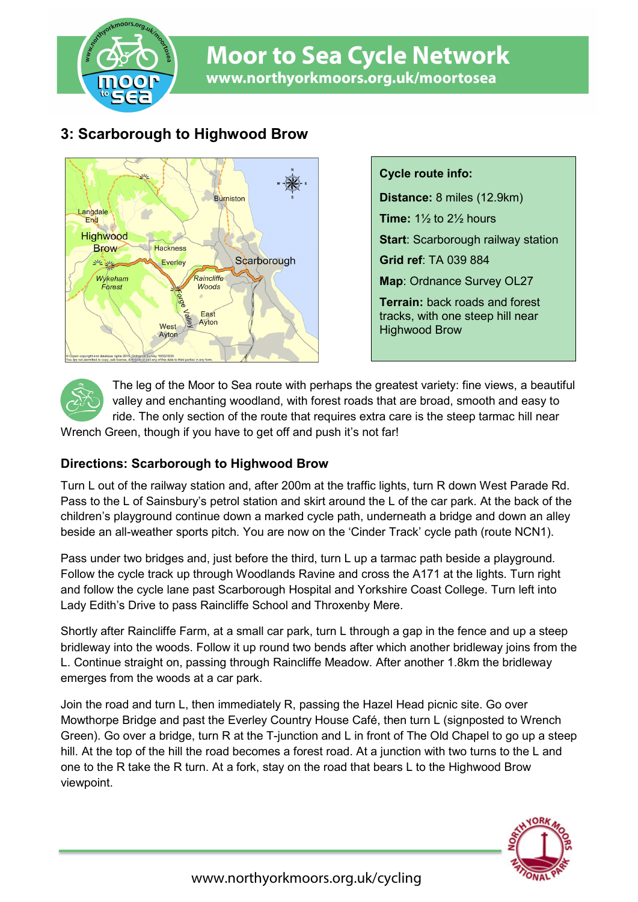

# **Moor to Sea Cycle Network** www.northyorkmoors.org.uk/moortosea

## **3: Scarborough to Highwood Brow**



**Cycle route info: Distance:** 8 miles (12.9km) **Time:** 1½ to 2½ hours **Start**: Scarborough railway station **Grid ref**: TA 039 884 **Map**: Ordnance Survey OL27 **Terrain:** back roads and forest tracks, with one steep hill near Highwood Brow



The leg of the Moor to Sea route with perhaps the greatest variety: fine views, a beautiful valley and enchanting woodland, with forest roads that are broad, smooth and easy to ride. The only section of the route that requires extra care is the steep tarmac hill near

Wrench Green, though if you have to get off and push it's not far!

### **Directions: Scarborough to Highwood Brow**

Turn L out of the railway station and, after 200m at the traffic lights, turn R down West Parade Rd. Pass to the L of Sainsbury's petrol station and skirt around the L of the car park. At the back of the children's playground continue down a marked cycle path, underneath a bridge and down an alley beside an all-weather sports pitch. You are now on the 'Cinder Track' cycle path (route NCN1).

Pass under two bridges and, just before the third, turn L up a tarmac path beside a playground. Follow the cycle track up through Woodlands Ravine and cross the A171 at the lights. Turn right and follow the cycle lane past Scarborough Hospital and Yorkshire Coast College. Turn left into Lady Edith's Drive to pass Raincliffe School and Throxenby Mere.

Shortly after Raincliffe Farm, at a small car park, turn L through a gap in the fence and up a steep bridleway into the woods. Follow it up round two bends after which another bridleway joins from the L. Continue straight on, passing through Raincliffe Meadow. After another 1.8km the bridleway emerges from the woods at a car park.

Join the road and turn L, then immediately R, passing the Hazel Head picnic site. Go over Mowthorpe Bridge and past the Everley Country House Café, then turn L (signposted to Wrench Green). Go over a bridge, turn R at the T-junction and L in front of The Old Chapel to go up a steep hill. At the top of the hill the road becomes a forest road. At a junction with two turns to the L and one to the R take the R turn. At a fork, stay on the road that bears L to the Highwood Brow viewpoint.